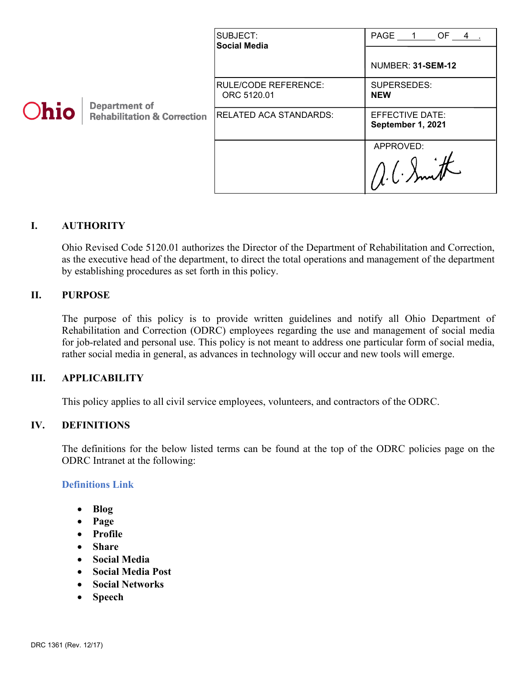| Ohio | <b>Department of</b><br><b>Rehabilitation &amp; Correction</b> | SUBJECT:<br><b>Social Media</b>            | PAGE 1 OF 4.<br>NUMBER: 31-SEM-12    |
|------|----------------------------------------------------------------|--------------------------------------------|--------------------------------------|
|      |                                                                | <b>RULE/CODE REFERENCE:</b><br>ORC 5120.01 | SUPERSEDES:<br><b>NEW</b>            |
|      |                                                                | <b>RELATED ACA STANDARDS:</b>              | EFFECTIVE DATE:<br>September 1, 2021 |
|      |                                                                |                                            | APPROVED:                            |

## **I. AUTHORITY**

Ohio Revised Code 5120.01 authorizes the Director of the Department of Rehabilitation and Correction, as the executive head of the department, to direct the total operations and management of the department by establishing procedures as set forth in this policy.

#### **II. PURPOSE**

The purpose of this policy is to provide written guidelines and notify all Ohio Department of Rehabilitation and Correction (ODRC) employees regarding the use and management of social media for job-related and personal use. This policy is not meant to address one particular form of social media, rather social media in general, as advances in technology will occur and new tools will emerge.

#### **III. APPLICABILITY**

This policy applies to all civil service employees, volunteers, and contractors of the ODRC.

#### **IV. DEFINITIONS**

The definitions for the below listed terms can be found at the top of the ODRC policies page on the ODRC Intranet at the following:

#### **[Definitions Link](http://intra/policies/pagecontent/files/Policy%20Definition%20Spreadsheet%20-%20Intranet%202021.pdf)**

- **Blog**
- **Page**
- **Profile**
- **Share**
- **Social Media**
- **Social Media Post**
- **Social Networks**
- **Speech**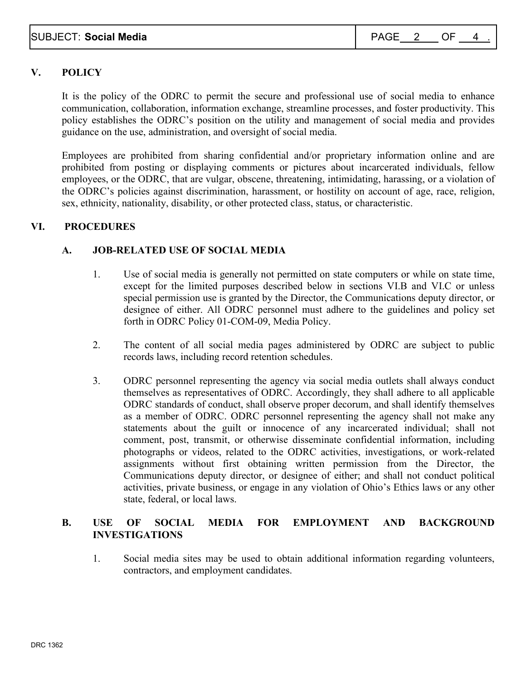# **V. POLICY**

It is the policy of the ODRC to permit the secure and professional use of social media to enhance communication, collaboration, information exchange, streamline processes, and foster productivity. This policy establishes the ODRC's position on the utility and management of social media and provides guidance on the use, administration, and oversight of social media.

Employees are prohibited from sharing confidential and/or proprietary information online and are prohibited from posting or displaying comments or pictures about incarcerated individuals, fellow employees, or the ODRC, that are vulgar, obscene, threatening, intimidating, harassing, or a violation of the ODRC's policies against discrimination, harassment, or hostility on account of age, race, religion, sex, ethnicity, nationality, disability, or other protected class, status, or characteristic.

## **VI. PROCEDURES**

## **A. JOB-RELATED USE OF SOCIAL MEDIA**

- 1. Use of social media is generally not permitted on state computers or while on state time, except for the limited purposes described below in sections VI.B and VI.C or unless special permission use is granted by the Director, the Communications deputy director, or designee of either. All ODRC personnel must adhere to the guidelines and policy set forth in ODRC Policy 01-COM-09, Media Policy.
- 2. The content of all social media pages administered by ODRC are subject to public records laws, including record retention schedules.
- 3. ODRC personnel representing the agency via social media outlets shall always conduct themselves as representatives of ODRC. Accordingly, they shall adhere to all applicable ODRC standards of conduct, shall observe proper decorum, and shall identify themselves as a member of ODRC. ODRC personnel representing the agency shall not make any statements about the guilt or innocence of any incarcerated individual; shall not comment, post, transmit, or otherwise disseminate confidential information, including photographs or videos, related to the ODRC activities, investigations, or work-related assignments without first obtaining written permission from the Director, the Communications deputy director, or designee of either; and shall not conduct political activities, private business, or engage in any violation of Ohio's Ethics laws or any other state, federal, or local laws.

## **B. USE OF SOCIAL MEDIA FOR EMPLOYMENT AND BACKGROUND INVESTIGATIONS**

1. Social media sites may be used to obtain additional information regarding volunteers, contractors, and employment candidates.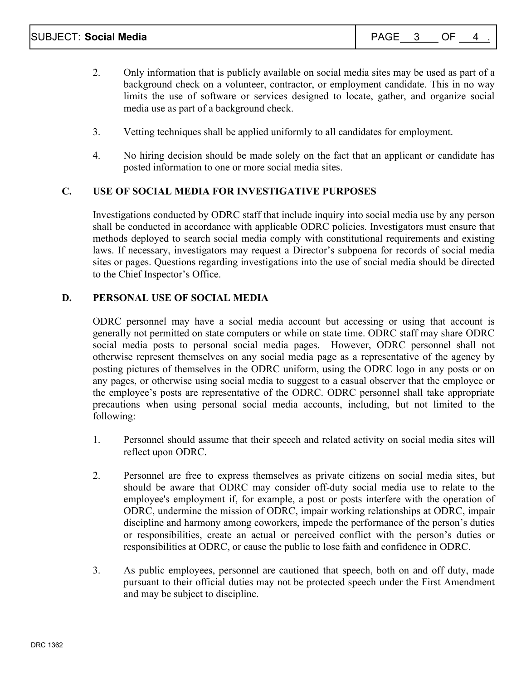- 2. Only information that is publicly available on social media sites may be used as part of a background check on a volunteer, contractor, or employment candidate. This in no way limits the use of software or services designed to locate, gather, and organize social media use as part of a background check.
- 3. Vetting techniques shall be applied uniformly to all candidates for employment.
- 4. No hiring decision should be made solely on the fact that an applicant or candidate has posted information to one or more social media sites.

# **C. USE OF SOCIAL MEDIA FOR INVESTIGATIVE PURPOSES**

Investigations conducted by ODRC staff that include inquiry into social media use by any person shall be conducted in accordance with applicable ODRC policies. Investigators must ensure that methods deployed to search social media comply with constitutional requirements and existing laws. If necessary, investigators may request a Director's subpoena for records of social media sites or pages. Questions regarding investigations into the use of social media should be directed to the Chief Inspector's Office.

# **D. PERSONAL USE OF SOCIAL MEDIA**

ODRC personnel may have a social media account but accessing or using that account is generally not permitted on state computers or while on state time. ODRC staff may share ODRC social media posts to personal social media pages. However, ODRC personnel shall not otherwise represent themselves on any social media page as a representative of the agency by posting pictures of themselves in the ODRC uniform, using the ODRC logo in any posts or on any pages, or otherwise using social media to suggest to a casual observer that the employee or the employee's posts are representative of the ODRC. ODRC personnel shall take appropriate precautions when using personal social media accounts, including, but not limited to the following:

- 1. Personnel should assume that their speech and related activity on social media sites will reflect upon ODRC.
- 2. Personnel are free to express themselves as private citizens on social media sites, but should be aware that ODRC may consider off-duty social media use to relate to the employee's employment if, for example, a post or posts interfere with the operation of ODRC, undermine the mission of ODRC, impair working relationships at ODRC, impair discipline and harmony among coworkers, impede the performance of the person's duties or responsibilities, create an actual or perceived conflict with the person's duties or responsibilities at ODRC, or cause the public to lose faith and confidence in ODRC.
- 3. As public employees, personnel are cautioned that speech, both on and off duty, made pursuant to their official duties may not be protected speech under the First Amendment and may be subject to discipline.